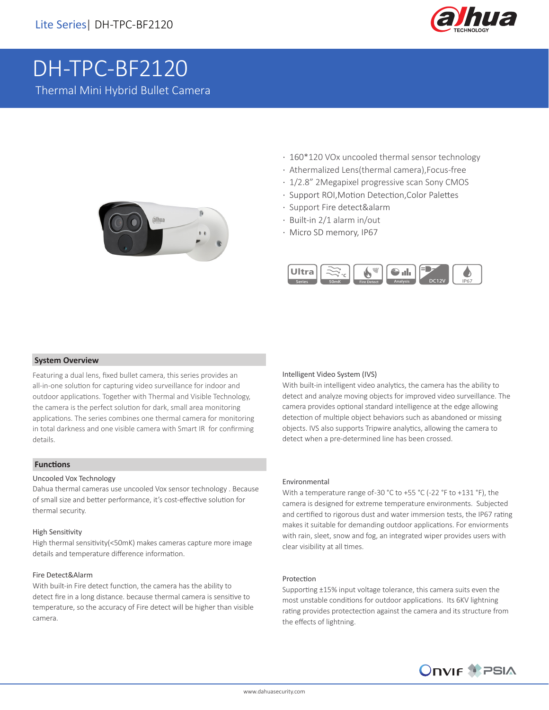

# DH-TPC-BF2120

Thermal Mini Hybrid Bullet Camera



- · 160\*120 VOx uncooled thermal sensor technology
- · Athermalized Lens(thermal camera),Focus-free
- · 1/2.8" 2Megapixel progressive scan Sony CMOS
- · Support ROI,Motion Detection,Color Palettes
- · Support Fire detect&alarm
- · Built-in 2/1 alarm in/out
- · Micro SD memory, IP67



#### **System Overview**

Featuring a dual lens, fixed bullet camera, this series provides an all-in-one solution for capturing video surveillance for indoor and outdoor applications. Together with Thermal and Visible Technology, the camera is the perfect solution for dark, small area monitoring applications. The series combines one thermal camera for monitoring in total darkness and one visible camera with Smart IR for confirming details.

## **Functions**

#### Uncooled Vox Technology

Dahua thermal cameras use uncooled Vox sensor technology . Because of small size and better performance, it's cost-effective solution for thermal security.

#### High Sensitivity

High thermal sensitivity(<50mK) makes cameras capture more image details and temperature difference information.

#### Fire Detect&Alarm

With built-in Fire detect function, the camera has the ability to detect fire in a long distance. because thermal camera is sensitive to temperature, so the accuracy of Fire detect will be higher than visible camera.

#### Intelligent Video System (IVS)

With built-in intelligent video analytics, the camera has the ability to detect and analyze moving objects for improved video surveillance. The camera provides optional standard intelligence at the edge allowing detection of multiple object behaviors such as abandoned or missing objects. IVS also supports Tripwire analytics, allowing the camera to detect when a pre-determined line has been crossed.

#### Environmental

With a temperature range of -30 °C to +55 °C (-22 °F to +131 °F), the camera is designed for extreme temperature environments. Subjected and certified to rigorous dust and water immersion tests, the IP67 rating makes it suitable for demanding outdoor applications. For enviorments with rain, sleet, snow and fog, an integrated wiper provides users with clear visibility at all times.

#### Protection

Supporting ±15% input voltage tolerance, this camera suits even the most unstable conditions for outdoor applications. Its 6KV lightning rating provides protectection against the camera and its structure from the effects of lightning.

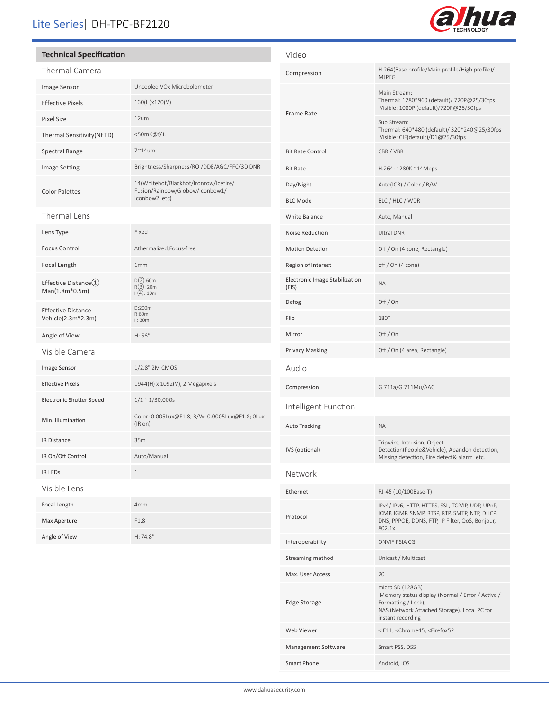# Lite Series| DH-TPC-BF2120

## **Technical Specification**

| <b>Thermal Camera</b>                                  |                                                                                            |  |
|--------------------------------------------------------|--------------------------------------------------------------------------------------------|--|
| Image Sensor                                           | Uncooled VOx Microbolometer                                                                |  |
| <b>Effective Pixels</b>                                | 160(H)x120(V)                                                                              |  |
| <b>Pixel Size</b>                                      | 12um                                                                                       |  |
| Thermal Sensitivity(NETD)                              | <50mK@f/1.1                                                                                |  |
| <b>Spectral Range</b>                                  | $7^{\sim}$ 14um                                                                            |  |
| <b>Image Setting</b>                                   | Brightness/Sharpness/ROI/DDE/AGC/FFC/3D DNR                                                |  |
| <b>Color Palettes</b>                                  | 14(Whitehot/Blackhot/Ironrow/Icefire/<br>Fusion/Rainbow/Globow/Iconbow1/<br>lconbow2 .etc) |  |
| Thermal Lens                                           |                                                                                            |  |
| Lens Type                                              | Fixed                                                                                      |  |
| <b>Focus Control</b>                                   | Athermalized, Focus-free                                                                   |  |
| Focal Length                                           | 1mm                                                                                        |  |
| Effective Distance $\textcircled{1}$<br>Man(1.8m*0.5m) | D(2):60m<br>R(3): 20m<br>(4): 10m                                                          |  |
| <b>Effective Distance</b><br>Vehicle(2.3m*2.3m)        | D:200m<br>R:60m<br>l:30m                                                                   |  |
| Angle of View                                          | H:56°                                                                                      |  |
| Visible Camera                                         |                                                                                            |  |
| Image Sensor                                           | 1/2.8" 2M CMOS                                                                             |  |
| <b>Effective Pixels</b>                                | 1944(H) x 1092(V), 2 Megapixels                                                            |  |
| <b>Electronic Shutter Speed</b>                        | $1/1 \sim 1/30,000s$                                                                       |  |
| Min. Illumination                                      | Color: 0.005Lux@F1.8; B/W: 0.0005Lux@F1.8; 0Lux<br>(IR on)                                 |  |
| <b>IR Distance</b>                                     | 35m                                                                                        |  |
| IR On/Off Control                                      | Auto/Manual                                                                                |  |
| <b>IR LEDS</b>                                         | $\mathbf{1}$                                                                               |  |
| Visible Lens                                           |                                                                                            |  |
| Focal Length                                           | 4 <sub>mm</sub>                                                                            |  |
| Max Aperture                                           | F1.8                                                                                       |  |
| Angle of View                                          | H: 74.8°                                                                                   |  |

| Video                                   |                                                                                                                                                                  |  |
|-----------------------------------------|------------------------------------------------------------------------------------------------------------------------------------------------------------------|--|
| Compression                             | H.264(Base profile/Main profile/High profile)/<br><b>MJPEG</b>                                                                                                   |  |
| Frame Rate                              | Main Stream:<br>Thermal: 1280*960 (default)/ 720P@25/30fps<br>Visible: 1080P (default)/720P@25/30fps                                                             |  |
|                                         | Sub Stream:<br>Thermal: 640*480 (default)/ 320*240@25/30fps<br>Visible: CIF(default)/D1@25/30fps                                                                 |  |
| <b>Bit Rate Control</b>                 | CBR / VBR                                                                                                                                                        |  |
| <b>Bit Rate</b>                         | H.264: 1280K ~14Mbps                                                                                                                                             |  |
| Day/Night                               | Auto(ICR) / Color / B/W                                                                                                                                          |  |
| <b>BLC Mode</b>                         | BLC / HLC / WDR                                                                                                                                                  |  |
| White Balance                           | Auto, Manual                                                                                                                                                     |  |
| Noise Reduction                         | Ultral DNR                                                                                                                                                       |  |
| <b>Motion Detetion</b>                  | Off / On (4 zone, Rectangle)                                                                                                                                     |  |
| Region of Interest                      | off / On (4 zone)                                                                                                                                                |  |
| Electronic Image Stabilization<br>(EIS) | <b>ΝΑ</b>                                                                                                                                                        |  |
| Defog                                   | Off / On                                                                                                                                                         |  |
| Flip                                    | $180^\circ$                                                                                                                                                      |  |
| Mirror                                  | Off / On                                                                                                                                                         |  |
| Privacy Masking                         | Off / On (4 area, Rectangle)                                                                                                                                     |  |
| Audio                                   |                                                                                                                                                                  |  |
| Compression                             | G.711a/G.711Mu/AAC                                                                                                                                               |  |
| Intelligent Function                    |                                                                                                                                                                  |  |
| Auto Tracking                           | <b>NA</b>                                                                                                                                                        |  |
| IVS (optional)                          | Tripwire, Intrusion, Object<br>Detection(People&Vehicle), Abandon detection,<br>Missing detection, Fire detect& alarm .etc.                                      |  |
| Network                                 |                                                                                                                                                                  |  |
| Ethernet                                | RJ-45 (10/100Base-T)                                                                                                                                             |  |
| Protocol                                | IPv4/IPv6, HTTP, HTTPS, SSL, TCP/IP, UDP, UPnP,<br>ICMP, IGMP, SNMP, RTSP, RTP, SMTP, NTP, DHCP,<br>DNS, PPPOE, DDNS, FTP, IP Filter, QoS, Bonjour,<br>802.1x    |  |
| Interoperability                        | <b>ONVIF PSIA CGI</b>                                                                                                                                            |  |
| Streaming method                        | Unicast / Multicast                                                                                                                                              |  |
| Max. User Access                        | 20                                                                                                                                                               |  |
| <b>Edge Storage</b>                     | micro SD (128GB)<br>Memory status display (Normal / Error / Active /<br>Formatting / Lock),<br>NAS (Network Attached Storage), Local PC for<br>instant recording |  |
| Web Viewer                              | <ie11, <chrome45,="" <firefox52<="" td=""></ie11,>                                                                                                               |  |
| Management Software                     | Smart PSS, DSS                                                                                                                                                   |  |
| <b>Smart Phone</b>                      | Android, IOS                                                                                                                                                     |  |